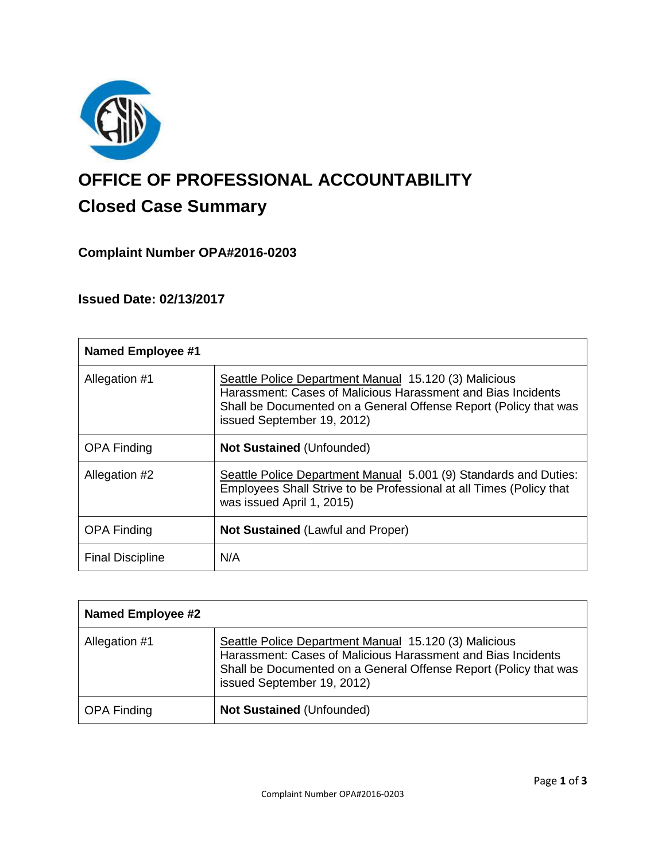

# **OFFICE OF PROFESSIONAL ACCOUNTABILITY Closed Case Summary**

# **Complaint Number OPA#2016-0203**

# **Issued Date: 02/13/2017**

| <b>Named Employee #1</b> |                                                                                                                                                                                                                         |
|--------------------------|-------------------------------------------------------------------------------------------------------------------------------------------------------------------------------------------------------------------------|
| Allegation #1            | Seattle Police Department Manual 15.120 (3) Malicious<br>Harassment: Cases of Malicious Harassment and Bias Incidents<br>Shall be Documented on a General Offense Report (Policy that was<br>issued September 19, 2012) |
| <b>OPA Finding</b>       | <b>Not Sustained (Unfounded)</b>                                                                                                                                                                                        |
| Allegation #2            | Seattle Police Department Manual 5.001 (9) Standards and Duties:<br>Employees Shall Strive to be Professional at all Times (Policy that<br>was issued April 1, 2015)                                                    |
| <b>OPA Finding</b>       | <b>Not Sustained (Lawful and Proper)</b>                                                                                                                                                                                |
| <b>Final Discipline</b>  | N/A                                                                                                                                                                                                                     |

| <b>Named Employee #2</b> |                                                                                                                                                                                                                         |
|--------------------------|-------------------------------------------------------------------------------------------------------------------------------------------------------------------------------------------------------------------------|
| Allegation #1            | Seattle Police Department Manual 15.120 (3) Malicious<br>Harassment: Cases of Malicious Harassment and Bias Incidents<br>Shall be Documented on a General Offense Report (Policy that was<br>issued September 19, 2012) |
| <b>OPA Finding</b>       | <b>Not Sustained (Unfounded)</b>                                                                                                                                                                                        |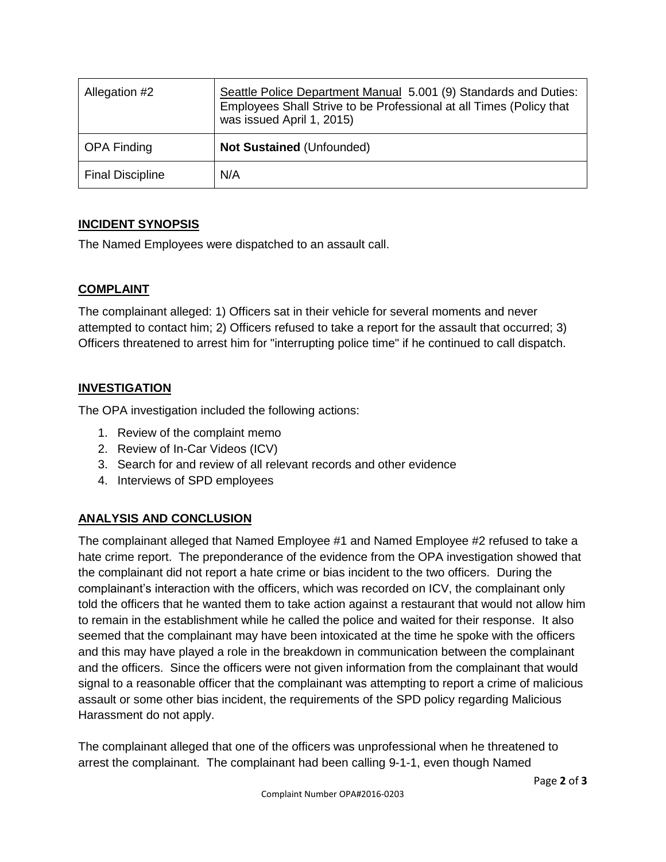| Allegation #2           | Seattle Police Department Manual 5.001 (9) Standards and Duties:<br>Employees Shall Strive to be Professional at all Times (Policy that<br>was issued April 1, 2015) |
|-------------------------|----------------------------------------------------------------------------------------------------------------------------------------------------------------------|
| <b>OPA Finding</b>      | <b>Not Sustained (Unfounded)</b>                                                                                                                                     |
| <b>Final Discipline</b> | N/A                                                                                                                                                                  |

# **INCIDENT SYNOPSIS**

The Named Employees were dispatched to an assault call.

# **COMPLAINT**

The complainant alleged: 1) Officers sat in their vehicle for several moments and never attempted to contact him; 2) Officers refused to take a report for the assault that occurred; 3) Officers threatened to arrest him for "interrupting police time" if he continued to call dispatch.

# **INVESTIGATION**

The OPA investigation included the following actions:

- 1. Review of the complaint memo
- 2. Review of In-Car Videos (ICV)
- 3. Search for and review of all relevant records and other evidence
- 4. Interviews of SPD employees

# **ANALYSIS AND CONCLUSION**

The complainant alleged that Named Employee #1 and Named Employee #2 refused to take a hate crime report. The preponderance of the evidence from the OPA investigation showed that the complainant did not report a hate crime or bias incident to the two officers. During the complainant's interaction with the officers, which was recorded on ICV, the complainant only told the officers that he wanted them to take action against a restaurant that would not allow him to remain in the establishment while he called the police and waited for their response. It also seemed that the complainant may have been intoxicated at the time he spoke with the officers and this may have played a role in the breakdown in communication between the complainant and the officers. Since the officers were not given information from the complainant that would signal to a reasonable officer that the complainant was attempting to report a crime of malicious assault or some other bias incident, the requirements of the SPD policy regarding Malicious Harassment do not apply.

The complainant alleged that one of the officers was unprofessional when he threatened to arrest the complainant. The complainant had been calling 9-1-1, even though Named